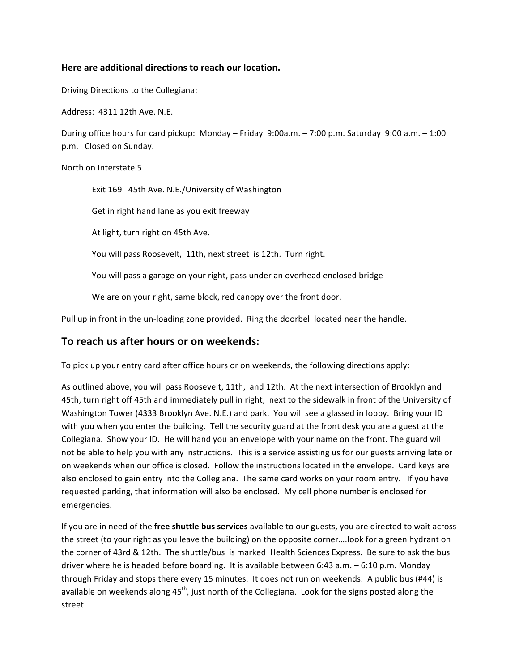## **Here are additional directions to reach our location.**

Driving Directions to the Collegiana:

Address: 4311 12th Ave. N.E.

During office hours for card pickup: Monday – Friday 9:00a.m. – 7:00 p.m. Saturday 9:00 a.m. – 1:00 p.m. Closed on Sunday.

North on Interstate 5

Exit 169 45th Ave. N.E./University of Washington

Get in right hand lane as you exit freeway

At light, turn right on 45th Ave.

You will pass Roosevelt, 11th, next street is 12th. Turn right.

You will pass a garage on your right, pass under an overhead enclosed bridge

We are on your right, same block, red canopy over the front door.

Pull up in front in the un-loading zone provided. Ring the doorbell located near the handle.

## To reach us after hours or on weekends:

To pick up your entry card after office hours or on weekends, the following directions apply:

As outlined above, you will pass Roosevelt, 11th, and 12th. At the next intersection of Brooklyn and 45th, turn right off 45th and immediately pull in right, next to the sidewalk in front of the University of Washington Tower (4333 Brooklyn Ave. N.E.) and park. You will see a glassed in lobby. Bring your ID with you when you enter the building. Tell the security guard at the front desk you are a guest at the Collegiana.' Show your ID.' He will hand you an envelope with your name on the front. The guard will not be able to help you with any instructions. This is a service assisting us for our guests arriving late or on weekends when our office is closed. Follow the instructions located in the envelope. Card keys are also enclosed to gain entry into the Collegiana. The same card works on your room entry. If you have requested parking, that information will also be enclosed. My cell phone number is enclosed for emergencies.

If you are in need of the *free shuttle bus services* available to our guests, you are directed to wait across the street (to your right as you leave the building) on the opposite corner....look for a green hydrant on the corner of 43rd & 12th. The shuttle/bus is marked Health Sciences Express. Be sure to ask the bus driver where he is headed before boarding. It is available between 6:43 a.m. - 6:10 p.m. Monday through Friday and stops there every 15 minutes. It does not run on weekends. A public bus (#44) is available on weekends along  $45<sup>th</sup>$ , just north of the Collegiana. Look for the signs posted along the street.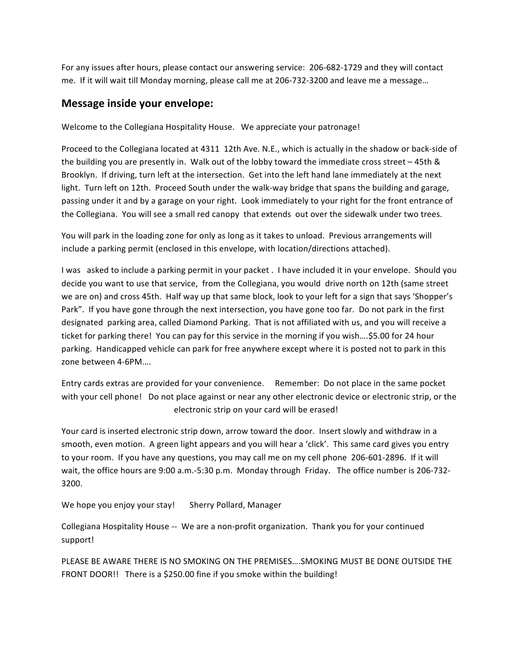For any issues after hours, please contact our answering service: 206-682-1729 and they will contact me.''If it will wait till Monday morning, please call me at 206-732-3200 and leave me a message...

## **Message inside your envelope:**

Welcome to the Collegiana Hospitality House. We appreciate your patronage!

Proceed to the Collegiana located at 4311 12th Ave. N.E., which is actually in the shadow or back-side of the building you are presently in. Walk out of the lobby toward the immediate cross street – 45th & Brooklyn. If driving, turn left at the intersection. Get into the left hand lane immediately at the next light. Turn left on 12th. Proceed South under the walk-way bridge that spans the building and garage, passing under it and by a garage on your right. Look immediately to your right for the front entrance of the Collegiana. You will see a small red canopy that extends out over the sidewalk under two trees.

You will park in the loading zone for only as long as it takes to unload. Previous arrangements will include a parking permit (enclosed in this envelope, with location/directions attached).

I'was' asked to include a parking permit in your packet . I have included it in your envelope. Should you decide you want to use that service, from the Collegiana, you would drive north on 12th (same street we are on) and cross 45th. Half way up that same block, look to your left for a sign that says 'Shopper's Park". If you have gone through the next intersection, you have gone too far. Do not park in the first designated parking area, called Diamond Parking. That is not affiliated with us, and you will receive a ticket for parking there! You can pay for this service in the morning if you wish....\$5.00 for 24 hour parking. Handicapped vehicle can park for free anywhere except where it is posted not to park in this zone between 4-6PM....

Entry cards extras are provided for your convenience. Remember: Do not place in the same pocket with your cell phone! Do not place against or near any other electronic device or electronic strip, or the electronic strip on your card will be erased!

Your card is inserted electronic strip down, arrow toward the door. Insert slowly and withdraw in a smooth, even motion. A green light appears and you will hear a 'click'. This same card gives you entry to your room. If you have any questions, you may call me on my cell phone 206-601-2896. If it will wait, the office hours are 9:00 a.m.-5:30 p.m. Monday through Friday. The office number is 206-732-3200.''

We hope you enjoy your stay! Sherry Pollard, Manager

Collegiana Hospitality House -- We are a non-profit organization. Thank you for your continued support!

PLEASE BE AWARE THERE IS NO SMOKING ON THE PREMISES....SMOKING MUST BE DONE OUTSIDE THE FRONT DOOR!! There is a \$250.00 fine if you smoke within the building!